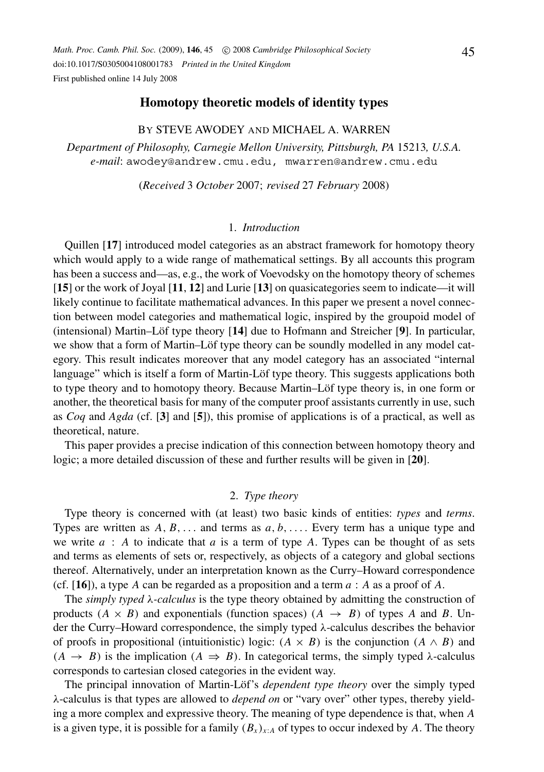*Math. Proc. Camb. Phil. Soc.* (2009), 146, 45 C 2008 *Cambridge Philosophical Society* doi:10.1017/S0305004108001783 *Printed in the United Kingdom* First published online 14 July 2008

## **Homotopy theoretic models of identity types**

## BY STEVE AWODEY AND MICHAEL A. WARREN

*Department of Philosophy, Carnegie Mellon University, Pittsburgh, PA* 15213*, U.S.A. e-mail*: awodey@andrew.cmu.edu, mwarren@andrew.cmu.edu

(*Received* 3 *October* 2007; *revised* 27 *February* 2008)

### 1. *Introduction*

Quillen [**17**] introduced model categories as an abstract framework for homotopy theory which would apply to a wide range of mathematical settings. By all accounts this program has been a success and—as, e.g., the work of Voevodsky on the homotopy theory of schemes [**15**] or the work of Joyal [**11**, **12**] and Lurie [**13**] on quasicategories seem to indicate—it will likely continue to facilitate mathematical advances. In this paper we present a novel connection between model categories and mathematical logic, inspired by the groupoid model of (intensional) Martin–Löf type theory [14] due to Hofmann and Streicher [9]. In particular, we show that a form of Martin–Löf type theory can be soundly modelled in any model category. This result indicates moreover that any model category has an associated "internal language" which is itself a form of Martin-Löf type theory. This suggests applications both to type theory and to homotopy theory. Because Martin–Löf type theory is, in one form or another, the theoretical basis for many of the computer proof assistants currently in use, such as *Coq* and *Agda* (cf. [**3**] and [**5**]), this promise of applications is of a practical, as well as theoretical, nature.

This paper provides a precise indication of this connection between homotopy theory and logic; a more detailed discussion of these and further results will be given in [**20**].

## 2. *Type theory*

Type theory is concerned with (at least) two basic kinds of entities: *types* and *terms*. Types are written as  $A, B, \ldots$  and terms as  $a, b, \ldots$ . Every term has a unique type and we write *a* : *A* to indicate that *a* is a term of type *A*. Types can be thought of as sets and terms as elements of sets or, respectively, as objects of a category and global sections thereof. Alternatively, under an interpretation known as the Curry–Howard correspondence (cf. [**16**]), a type *A* can be regarded as a proposition and a term *a* : *A* as a proof of *A*.

The *simply typed* λ*-calculus* is the type theory obtained by admitting the construction of products  $(A \times B)$  and exponentials (function spaces)  $(A \rightarrow B)$  of types *A* and *B*. Under the Curry–Howard correspondence, the simply typed  $\lambda$ -calculus describes the behavior of proofs in propositional (intuitionistic) logic:  $(A \times B)$  is the conjunction  $(A \wedge B)$  and  $(A \rightarrow B)$  is the implication  $(A \Rightarrow B)$ . In categorical terms, the simply typed  $\lambda$ -calculus corresponds to cartesian closed categories in the evident way.

The principal innovation of Martin-Löf's *dependent type theory* over the simply typed λ-calculus is that types are allowed to *depend on* or "vary over" other types, thereby yielding a more complex and expressive theory. The meaning of type dependence is that, when *A* is a given type, it is possible for a family  $(B_x)_{x:A}$  of types to occur indexed by A. The theory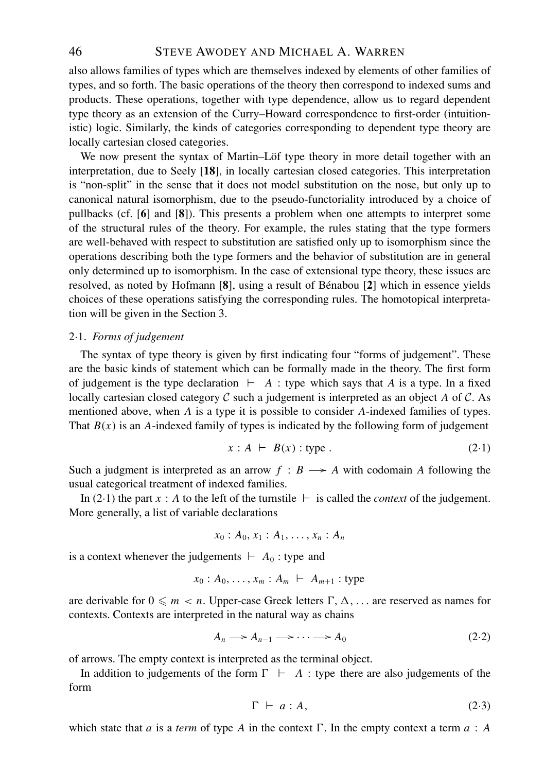# 46 STEVE AWODEY AND MICHAEL A. WARREN

also allows families of types which are themselves indexed by elements of other families of types, and so forth. The basic operations of the theory then correspond to indexed sums and products. These operations, together with type dependence, allow us to regard dependent type theory as an extension of the Curry–Howard correspondence to first-order (intuitionistic) logic. Similarly, the kinds of categories corresponding to dependent type theory are locally cartesian closed categories.

We now present the syntax of Martin–Löf type theory in more detail together with an interpretation, due to Seely [**18**], in locally cartesian closed categories. This interpretation is "non-split" in the sense that it does not model substitution on the nose, but only up to canonical natural isomorphism, due to the pseudo-functoriality introduced by a choice of pullbacks (cf. [**6**] and [**8**]). This presents a problem when one attempts to interpret some of the structural rules of the theory. For example, the rules stating that the type formers are well-behaved with respect to substitution are satisfied only up to isomorphism since the operations describing both the type formers and the behavior of substitution are in general only determined up to isomorphism. In the case of extensional type theory, these issues are resolved, as noted by Hofmann [8], using a result of Bénabou [2] which in essence yields choices of these operations satisfying the corresponding rules. The homotopical interpretation will be given in the Section 3.

### 2·1. *Forms of judgement*

The syntax of type theory is given by first indicating four "forms of judgement". These are the basic kinds of statement which can be formally made in the theory. The first form of judgement is the type declaration  $\vdash$  *A* : type which says that *A* is a type. In a fixed locally cartesian closed category C such a judgement is interpreted as an object *A* of C. As mentioned above, when *A* is a type it is possible to consider *A*-indexed families of types. That  $B(x)$  is an *A*-indexed family of types is indicated by the following form of judgement

$$
x : A \ \vdash \ B(x) : \text{type} \ . \tag{2-1}
$$

Such a judgment is interpreted as an arrow  $f : B \longrightarrow A$  with codomain A following the usual categorical treatment of indexed families.

In (2.1) the part *x* : *A* to the left of the turnstile  $\vdash$  is called the *context* of the judgement. More generally, a list of variable declarations

$$
x_0:A_0,x_1:A_1,\ldots,x_n:A_n
$$

is a context whenever the judgements  $\vdash A_0$ : type and

$$
x_0: A_0, \ldots, x_m: A_m \vdash A_{m+1} \text{ : type}
$$

are derivable for  $0 \leq m < n$ . Upper-case Greek letters  $\Gamma$ ,  $\Delta$ , ... are reserved as names for contexts. Contexts are interpreted in the natural way as chains

$$
A_n \longrightarrow A_{n-1} \longrightarrow \cdots \longrightarrow A_0 \tag{2.2}
$$

of arrows. The empty context is interpreted as the terminal object.

In addition to judgements of the form  $\Gamma$   $\vdash$  A : type there are also judgements of the form

$$
\Gamma \vdash a : A,\tag{2.3}
$$

which state that *a* is a *term* of type *A* in the context  $\Gamma$ . In the empty context a term  $a : A$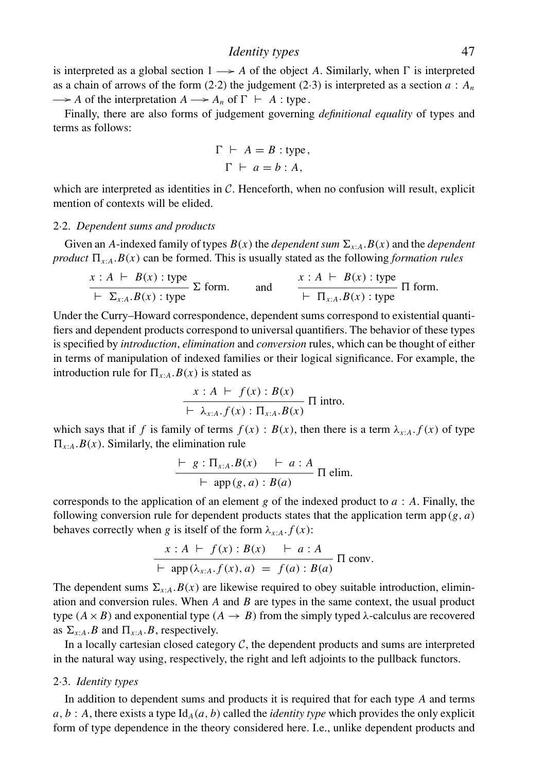is interpreted as a global section  $1 \rightarrow A$  of the object A. Similarly, when  $\Gamma$  is interpreted as a chain of arrows of the form  $(2.2)$  the judgement  $(2.3)$  is interpreted as a section  $a : A_n$ -*A* of the interpretation  $A \longrightarrow A_n$  of  $\Gamma \vdash A$ : type.

Finally, there are also forms of judgement governing *definitional equality* of types and terms as follows:

$$
\Gamma \vdash A = B : \text{type},
$$

$$
\Gamma \vdash a = b : A,
$$

which are interpreted as identities in  $C$ . Henceforth, when no confusion will result, explicit mention of contexts will be elided.

## 2·2. *Dependent sums and products*

Given an *A*-indexed family of types  $B(x)$  the *dependent sum*  $\Sigma_{x:A}$ .  $B(x)$  and the *dependent product*  $\Pi_{x:A}.B(x)$  can be formed. This is usually stated as the following *formation rules* 

$$
\frac{x:A \vdash B(x) : \text{type}}{\vdash \Sigma_{x:A}.B(x) : \text{type}} \Sigma \text{ form.} \quad \text{and} \quad \frac{x:A \vdash B(x) : \text{type}}{\vdash \Pi_{x:A}.B(x) : \text{type}} \Pi \text{ form.}
$$

Under the Curry–Howard correspondence, dependent sums correspond to existential quantifiers and dependent products correspond to universal quantifiers. The behavior of these types is specified by *introduction*, *elimination* and *conversion* rules, which can be thought of either in terms of manipulation of indexed families or their logical significance. For example, the introduction rule for  $\Pi_{x:A}$ .  $B(x)$  is stated as

$$
\frac{x:A \vdash f(x): B(x)}{\vdash \lambda_{x:A}.f(x): \Pi_{x:A}.B(x)} \Pi \text{ into.}
$$

which says that if *f* is family of terms  $f(x) : B(x)$ , then there is a term  $\lambda_{x:A} f(x)$  of type  $\Pi_{x:A}.B(x)$ . Similarly, the elimination rule

$$
\frac{\vdash g:\Pi_{x:A}.B(x) \quad \vdash a:A}{\vdash \text{ app}(g,a):B(a)} \ \Pi \ \text{elim.}
$$

corresponds to the application of an element *g* of the indexed product to *a* : *A*. Finally, the following conversion rule for dependent products states that the application term app $(g, a)$ behaves correctly when *g* is itself of the form  $\lambda_{x:A}. f(x)$ :

$$
x : A \vdash f(x) : B(x) \vdash a : A
$$
  
 
$$
\vdash \text{app}(\lambda_{x:A}.f(x), a) = f(a) : B(a) \text{ } \Pi \text{ conv.}
$$

The dependent sums  $\Sigma_{x:A}$ .*B*(*x*) are likewise required to obey suitable introduction, elimination and conversion rules. When *A* and *B* are types in the same context, the usual product type  $(A \times B)$  and exponential type  $(A \rightarrow B)$  from the simply typed  $\lambda$ -calculus are recovered as  $\Sigma_{x:A}.B$  and  $\Pi_{x:A}.B$ , respectively.

In a locally cartesian closed category  $C$ , the dependent products and sums are interpreted in the natural way using, respectively, the right and left adjoints to the pullback functors.

#### 2·3. *Identity types*

In addition to dependent sums and products it is required that for each type *A* and terms  $a, b : A$ , there exists a type Id<sub>A</sub> $(a, b)$  called the *identity type* which provides the only explicit form of type dependence in the theory considered here. I.e., unlike dependent products and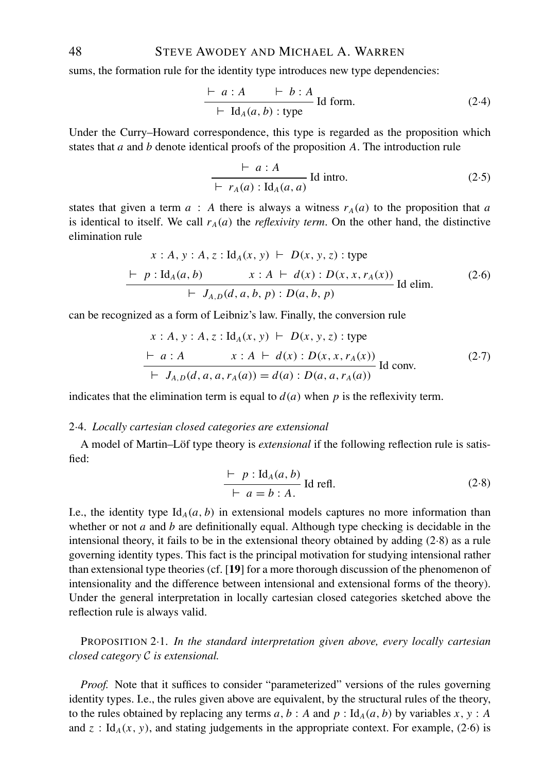# 48 STEVE AWODEY AND MICHAEL A. WARREN

sums, the formation rule for the identity type introduces new type dependencies:

$$
\frac{\vdash a:A \quad \vdash b:A}{\vdash \text{Id}_{A}(a,b) : \text{type}} \text{Id form.}
$$
 (2.4)

Under the Curry–Howard correspondence, this type is regarded as the proposition which states that *a* and *b* denote identical proofs of the proposition *A*. The introduction rule

$$
\frac{\vdash a:A}{\vdash r_A(a): \mathrm{Id}_A(a,a)} \mathrm{Id} \mathrm{intro.}
$$
 (2.5)

states that given a term  $a : A$  there is always a witness  $r_A(a)$  to the proposition that  $a$ is identical to itself. We call  $r_A(a)$  the *reflexivity term*. On the other hand, the distinctive elimination rule

$$
x : A, y : A, z : Id_{A}(x, y) \vdash D(x, y, z) : type
$$
  
\n
$$
\vdash p : Id_{A}(a, b) \qquad x : A \vdash d(x) : D(x, x, r_{A}(x))
$$
  
\n
$$
\vdash J_{A, D}(d, a, b, p) : D(a, b, p)
$$
  
\nId elim. (2.6)

can be recognized as a form of Leibniz's law. Finally, the conversion rule

$$
x : A, y : A, z : Id_{A}(x, y) \vdash D(x, y, z) : type
$$
  
\n
$$
\vdash a : A \qquad x : A \vdash d(x) : D(x, x, r_{A}(x))
$$
  
\n
$$
\vdash J_{A, D}(d, a, a, r_{A}(a)) = d(a) : D(a, a, r_{A}(a))
$$
  
\nId conv. (2-7)

indicates that the elimination term is equal to  $d(a)$  when p is the reflexivity term.

### 2·4. *Locally cartesian closed categories are extensional*

A model of Martin–Löf type theory is *extensional* if the following reflection rule is satisfied:

$$
\frac{\vdash p : \text{Id}_A(a, b)}{\vdash a = b : A} \text{ Id refl.}
$$
 (2.8)

I.e., the identity type  $Id_A(a, b)$  in extensional models captures no more information than whether or not *a* and *b* are definitionally equal. Although type checking is decidable in the intensional theory, it fails to be in the extensional theory obtained by adding (2·8) as a rule governing identity types. This fact is the principal motivation for studying intensional rather than extensional type theories (cf. [**19**] for a more thorough discussion of the phenomenon of intensionality and the difference between intensional and extensional forms of the theory). Under the general interpretation in locally cartesian closed categories sketched above the reflection rule is always valid.

PROPOSITION 2·1. *In the standard interpretation given above, every locally cartesian closed category* C *is extensional.*

*Proof.* Note that it suffices to consider "parameterized" versions of the rules governing identity types. I.e., the rules given above are equivalent, by the structural rules of the theory, to the rules obtained by replacing any terms  $a, b : A$  and  $p : Id<sub>A</sub>(a, b)$  by variables  $x, y : A$ and  $z : Id_A(x, y)$ , and stating judgements in the appropriate context. For example, (2.6) is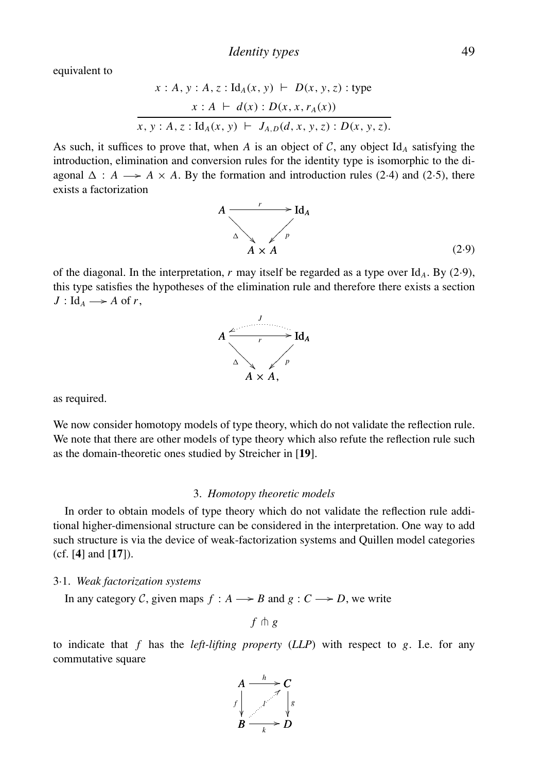equivalent to

$$
x : A, y : A, z : \text{Id}_{A}(x, y) \vdash D(x, y, z) : \text{type}
$$
\n
$$
x : A \vdash d(x) : D(x, x, r_{A}(x))
$$
\n
$$
x, y : A, z : \text{Id}_{A}(x, y) \vdash J_{A, D}(d, x, y, z) : D(x, y, z).
$$

As such, it suffices to prove that, when *A* is an object of *C*, any object Id<sub>*A*</sub> satisfying the introduction, elimination and conversion rules for the identity type is isomorphic to the diagonal  $\Delta$  : *A*  $\rightarrow$  *A*  $\times$  *A*. By the formation and introduction rules (2.4) and (2.5), there exists a factorization



of the diagonal. In the interpretation,  $r$  may itself be regarded as a type over  $\mathrm{Id}_A$ . By (2·9), this type satisfies the hypotheses of the elimination rule and therefore there exists a section  $J: \text{Id}_A \longrightarrow A \text{ of } r,$ 



as required.

We now consider homotopy models of type theory, which do not validate the reflection rule. We note that there are other models of type theory which also refute the reflection rule such as the domain-theoretic ones studied by Streicher in [**19**].

#### 3. *Homotopy theoretic models*

In order to obtain models of type theory which do not validate the reflection rule additional higher-dimensional structure can be considered in the interpretation. One way to add such structure is via the device of weak-factorization systems and Quillen model categories (cf. [**4**] and [**17**]).

### 3·1. *Weak factorization systems*

In any category C, given maps  $f : A \longrightarrow B$  and  $g : C \longrightarrow D$ , we write

 $f \uparrow g$ 

to indicate that *f* has the *left-lifting property* (*LLP*) with respect to *g*. I.e. for any commutative square

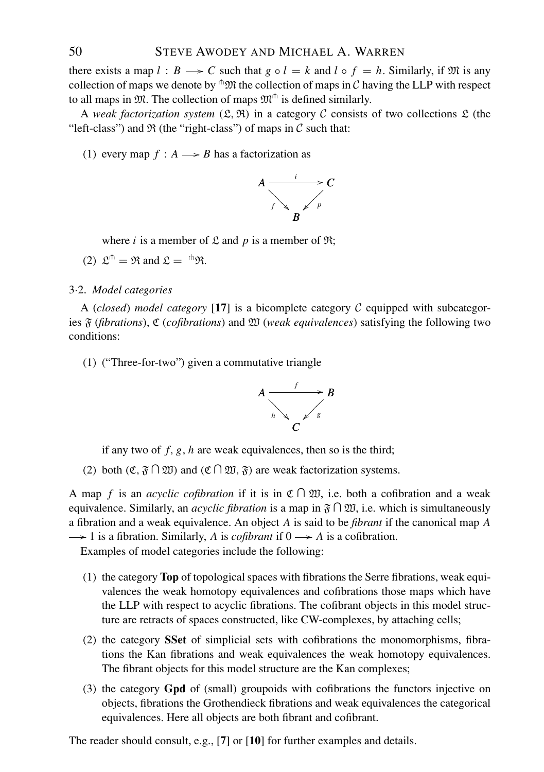there exists a map  $l : B \longrightarrow C$  such that  $g \circ l = k$  and  $l \circ f = h$ . Similarly, if M is any collection of maps we denote by  $\mathbb{R}^m$  the collection of maps in C having the LLP with respect to all maps in  $\mathfrak{M}$ . The collection of maps  $\mathfrak{M}^{\mathbb{m}}$  is defined similarly.

A *weak factorization system*  $(\mathfrak{L}, \mathfrak{R})$  in a category C consists of two collections  $\mathfrak{L}$  (the "left-class") and  $\Re$  (the "right-class") of maps in  $\mathcal C$  such that:

(1) every map  $f : A \longrightarrow B$  has a factorization as



where *i* is a member of  $\mathfrak L$  and *p* is a member of  $\mathfrak R$ ;

(2)  $\mathfrak{L}^{\oplus} = \mathfrak{R}$  and  $\mathfrak{L} = {}^{\oplus} \mathfrak{R}$ .

## 3·2. *Model categories*

A (*closed*) *model category* [17] is a bicomplete category  $C$  equipped with subcategories F (*fibrations*), C (*cofibrations*) and W (*weak equivalences*) satisfying the following two conditions:

(1) ("Three-for-two") given a commutative triangle



if any two of *f*, *g*, *h* are weak equivalences, then so is the third;

(2) both  $(\mathfrak{C}, \mathfrak{F} \cap \mathfrak{W})$  and  $(\mathfrak{C} \cap \mathfrak{W}, \mathfrak{F})$  are weak factorization systems.

A map f is an *acyclic cofibration* if it is in  $\mathfrak{C} \cap \mathfrak{W}$ , i.e. both a cofibration and a weak equivalence. Similarly, an *acyclic fibration* is a map in  $\mathfrak{F} \cap \mathfrak{W}$ , i.e. which is simultaneously a fibration and a weak equivalence. An object *A* is said to be *fibrant* if the canonical map *A* -1 is a fibration. Similarly, A is *cofibrant* if  $0 \rightarrow A$  is a cofibration.

Examples of model categories include the following:

- (1) the category **Top** of topological spaces with fibrations the Serre fibrations, weak equivalences the weak homotopy equivalences and cofibrations those maps which have the LLP with respect to acyclic fibrations. The cofibrant objects in this model structure are retracts of spaces constructed, like CW-complexes, by attaching cells;
- (2) the category **SSet** of simplicial sets with cofibrations the monomorphisms, fibrations the Kan fibrations and weak equivalences the weak homotopy equivalences. The fibrant objects for this model structure are the Kan complexes;
- (3) the category **Gpd** of (small) groupoids with cofibrations the functors injective on objects, fibrations the Grothendieck fibrations and weak equivalences the categorical equivalences. Here all objects are both fibrant and cofibrant.

The reader should consult, e.g., [**7**] or [**10**] for further examples and details.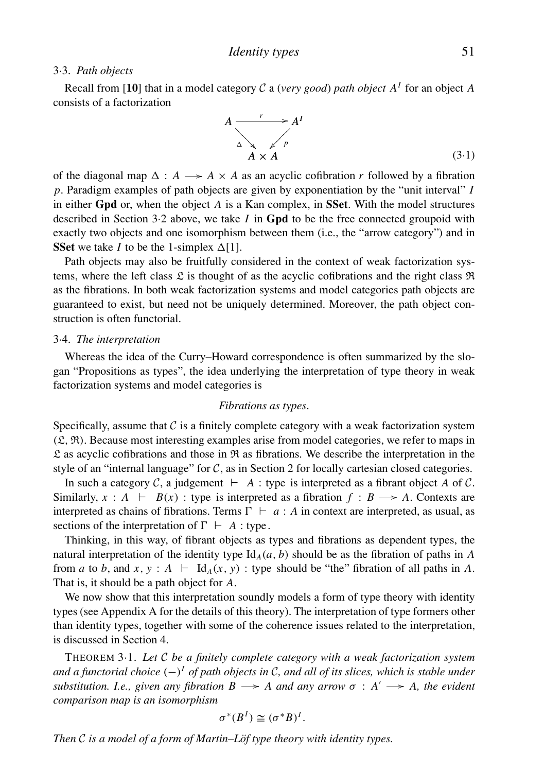### 3·3. *Path objects*

Recall from [10] that in a model category C a (*very good*) *path object*  $A<sup>I</sup>$  for an object A consists of a factorization

$$
A \xrightarrow[\Delta]{r} A^I
$$
\n
$$
A \times A
$$
\n(3.1)

of the diagonal map  $\Delta: A \longrightarrow A \times A$  as an acyclic cofibration *r* followed by a fibration *p*. Paradigm examples of path objects are given by exponentiation by the "unit interval" *I* in either **Gpd** or, when the object *A* is a Kan complex, in **SSet**. With the model structures described in Section 3·2 above, we take *I* in **Gpd** to be the free connected groupoid with exactly two objects and one isomorphism between them (i.e., the "arrow category") and in **SSet** we take *I* to be the 1-simplex  $\Delta[1]$ .

Path objects may also be fruitfully considered in the context of weak factorization systems, where the left class  $\mathfrak L$  is thought of as the acyclic cofibrations and the right class  $\mathfrak R$ as the fibrations. In both weak factorization systems and model categories path objects are guaranteed to exist, but need not be uniquely determined. Moreover, the path object construction is often functorial.

### 3·4. *The interpretation*

Whereas the idea of the Curry–Howard correspondence is often summarized by the slogan "Propositions as types", the idea underlying the interpretation of type theory in weak factorization systems and model categories is

### *Fibrations as types*.

Specifically, assume that  $\mathcal C$  is a finitely complete category with a weak factorization system  $({\mathfrak{L}}, {\mathfrak{R}})$ . Because most interesting examples arise from model categories, we refer to maps in  $\mathfrak L$  as acyclic cofibrations and those in  $\mathfrak R$  as fibrations. We describe the interpretation in the style of an "internal language" for  $C$ , as in Section 2 for locally cartesian closed categories.

In such a category C, a judgement  $\vdash A$  : type is interpreted as a fibrant object A of C. Similarly,  $x : A \vdash B(x)$ : type is interpreted as a fibration  $f : B \longrightarrow A$ . Contexts are interpreted as chains of fibrations. Terms  $\Gamma + a : A$  in context are interpreted, as usual, as sections of the interpretation of  $\Gamma \vdash A$ : type.

Thinking, in this way, of fibrant objects as types and fibrations as dependent types, the natural interpretation of the identity type  $Id_A(a, b)$  should be as the fibration of paths in *A* from *a* to *b*, and *x*, *y* :  $A \vdash \text{Id}_A(x, y)$  : type should be "the" fibration of all paths in A. That is, it should be a path object for *A*.

We now show that this interpretation soundly models a form of type theory with identity types (see Appendix A for the details of this theory). The interpretation of type formers other than identity types, together with some of the coherence issues related to the interpretation, is discussed in Section 4.

THEOREM 3·1. *Let* C *be a finitely complete category with a weak factorization system and a functorial choice* (−)*<sup>I</sup> of path objects in* C*, and all of its slices, which is stable under substitution. I.e., given any fibration*  $B \longrightarrow A$  *and any arrow*  $\sigma : A' \longrightarrow A$ , the evident *comparison map is an isomorphism*

$$
\sigma^*(B^I) \cong (\sigma^*B)^I.
$$

*Then*  $C$  *is a model of a form of Martin–Löf type theory with identity types.*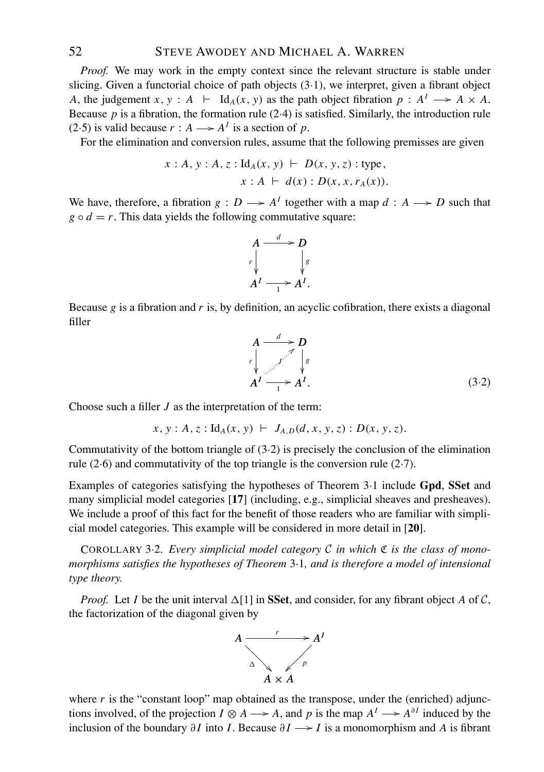*Proof.* We may work in the empty context since the relevant structure is stable under slicing. Given a functorial choice of path objects (3·1), we interpret, given a fibrant object *A*, the judgement *x*, *y* :  $A \vdash \text{Id}_A(x, y)$  as the path object fibration  $p : A^I \longrightarrow A \times A$ . Because  $p$  is a fibration, the formation rule  $(2.4)$  is satisfied. Similarly, the introduction rule (2.5) is valid because  $r : A \longrightarrow A^I$  is a section of p.

For the elimination and conversion rules, assume that the following premisses are given

$$
x : A, y : A, z : Id_A(x, y) \vdash D(x, y, z) : type,
$$
  
 $x : A \vdash d(x) : D(x, x, r_A(x)).$ 

We have, therefore, a fibration  $g: D \longrightarrow A^I$  together with a map  $d: A \longrightarrow D$  such that  $g \circ d = r$ . This data yields the following commutative square:



Because *g* is a fibration and *r* is, by definition, an acyclic cofibration, there exists a diagonal filler

$$
A \xrightarrow{l} D
$$
\n
$$
r \downarrow \qquad \qquad \downarrow s
$$
\n
$$
A^{I} \xrightarrow{l} A^{I}.
$$
\n(3.2)

Choose such a filler *J* as the interpretation of the term:

 $x, y: A, z: \mathrm{Id}_A(x, y) \vdash J_{A, D}(d, x, y, z): D(x, y, z).$ 

Commutativity of the bottom triangle of (3·2) is precisely the conclusion of the elimination rule (2·6) and commutativity of the top triangle is the conversion rule (2·7).

Examples of categories satisfying the hypotheses of Theorem 3·1 include **Gpd**, **SSet** and many simplicial model categories [**17**] (including, e.g., simplicial sheaves and presheaves). We include a proof of this fact for the benefit of those readers who are familiar with simplicial model categories. This example will be considered in more detail in [**20**].

COROLLARY 3·2. *Every simplicial model category* C *in which* C *is the class of monomorphisms satisfies the hypotheses of Theorem* 3·1*, and is therefore a model of intensional type theory.*

*Proof.* Let *I* be the unit interval  $\Delta[1]$  in **SSet**, and consider, for any fibrant object *A* of *C*, the factorization of the diagonal given by



where  $r$  is the "constant loop" map obtained as the transpose, under the (enriched) adjunctions involved, of the projection  $I \otimes A \longrightarrow A$ , and p is the map  $A^I \longrightarrow A^{\partial I}$  induced by the inclusion of the boundary  $\partial I$  into *I*. Because  $\partial I \longrightarrow I$  is a monomorphism and *A* is fibrant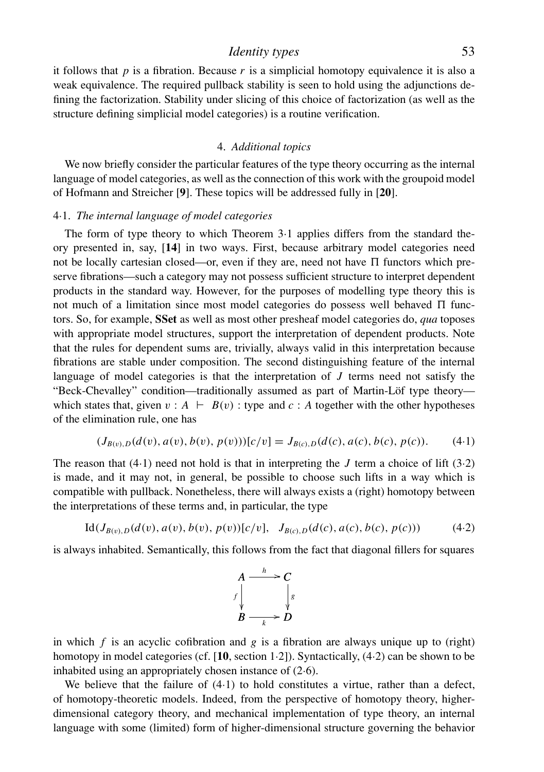# *Identity types* 53

it follows that  $p$  is a fibration. Because  $r$  is a simplicial homotopy equivalence it is also a weak equivalence. The required pullback stability is seen to hold using the adjunctions defining the factorization. Stability under slicing of this choice of factorization (as well as the structure defining simplicial model categories) is a routine verification.

### 4. *Additional topics*

We now briefly consider the particular features of the type theory occurring as the internal language of model categories, as well as the connection of this work with the groupoid model of Hofmann and Streicher [**9**]. These topics will be addressed fully in [**20**].

### 4·1. *The internal language of model categories*

The form of type theory to which Theorem 3·1 applies differs from the standard theory presented in, say, [**14**] in two ways. First, because arbitrary model categories need not be locally cartesian closed—or, even if they are, need not have  $\Pi$  functors which preserve fibrations—such a category may not possess sufficient structure to interpret dependent products in the standard way. However, for the purposes of modelling type theory this is not much of a limitation since most model categories do possess well behaved  $\Pi$  functors. So, for example, **SSet** as well as most other presheaf model categories do, *qua* toposes with appropriate model structures, support the interpretation of dependent products. Note that the rules for dependent sums are, trivially, always valid in this interpretation because fibrations are stable under composition. The second distinguishing feature of the internal language of model categories is that the interpretation of *J* terms need not satisfy the "Beck-Chevalley" condition—traditionally assumed as part of Martin-Lof type theory— ¨ which states that, given  $v : A \models B(v)$ : type and  $c : A$  together with the other hypotheses of the elimination rule, one has

$$
(J_{B(v),D}(d(v),a(v),b(v),p(v)))[c/v] = J_{B(c),D}(d(c),a(c),b(c),p(c)).
$$
 (4-1)

The reason that  $(4.1)$  need not hold is that in interpreting the *J* term a choice of lift  $(3.2)$ is made, and it may not, in general, be possible to choose such lifts in a way which is compatible with pullback. Nonetheless, there will always exists a (right) homotopy between the interpretations of these terms and, in particular, the type

$$
Id(J_{B(v),D}(d(v),a(v),b(v),p(v))[c/v], J_{B(c),D}(d(c),a(c),b(c),p(c))) \qquad (4.2)
$$

is always inhabited. Semantically, this follows from the fact that diagonal fillers for squares



in which  $f$  is an acyclic cofibration and  $g$  is a fibration are always unique up to (right) homotopy in model categories (cf. [**10**, section 1·2]). Syntactically, (4·2) can be shown to be inhabited using an appropriately chosen instance of (2·6).

We believe that the failure of  $(4.1)$  to hold constitutes a virtue, rather than a defect, of homotopy-theoretic models. Indeed, from the perspective of homotopy theory, higherdimensional category theory, and mechanical implementation of type theory, an internal language with some (limited) form of higher-dimensional structure governing the behavior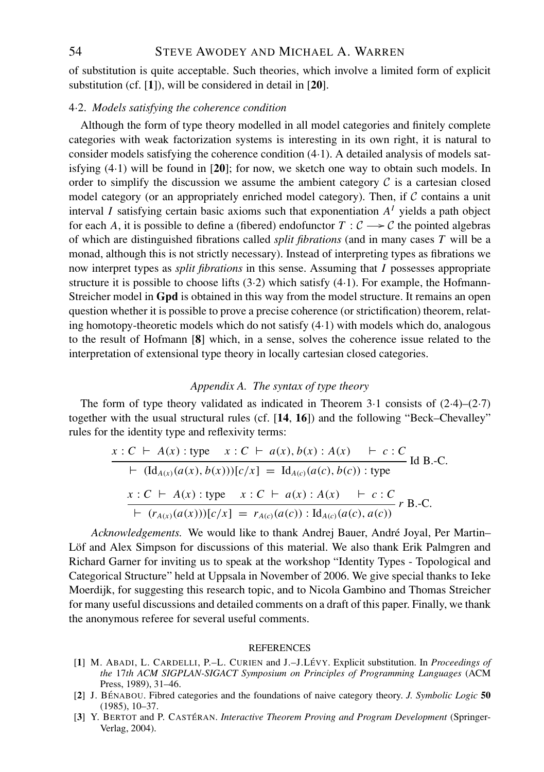54 STEVE AWODEY AND MICHAEL A. WARREN

of substitution is quite acceptable. Such theories, which involve a limited form of explicit substitution (cf. [**1**]), will be considered in detail in [**20**].

### 4·2. *Models satisfying the coherence condition*

Although the form of type theory modelled in all model categories and finitely complete categories with weak factorization systems is interesting in its own right, it is natural to consider models satisfying the coherence condition (4·1). A detailed analysis of models satisfying (4·1) will be found in [**20**]; for now, we sketch one way to obtain such models. In order to simplify the discussion we assume the ambient category  $C$  is a cartesian closed model category (or an appropriately enriched model category). Then, if  $\mathcal C$  contains a unit interval *I* satisfying certain basic axioms such that exponentiation  $A<sup>I</sup>$  yields a path object for each *A*, it is possible to define a (fibered) endofunctor  $T : C \rightarrow C$  the pointed algebras of which are distinguished fibrations called *split fibrations* (and in many cases *T* will be a monad, although this is not strictly necessary). Instead of interpreting types as fibrations we now interpret types as *split fibrations* in this sense. Assuming that *I* possesses appropriate structure it is possible to choose lifts  $(3.2)$  which satisfy  $(4.1)$ . For example, the Hofmann-Streicher model in **Gpd** is obtained in this way from the model structure. It remains an open question whether it is possible to prove a precise coherence (or strictification) theorem, relating homotopy-theoretic models which do not satisfy (4·1) with models which do, analogous to the result of Hofmann [**8**] which, in a sense, solves the coherence issue related to the interpretation of extensional type theory in locally cartesian closed categories.

#### *Appendix A. The syntax of type theory*

The form of type theory validated as indicated in Theorem  $3.1$  consists of  $(2.4)$ – $(2.7)$ together with the usual structural rules (cf. [**14**, **16**]) and the following "Beck–Chevalley" rules for the identity type and reflexivity terms:

$$
x : C \vdash A(x) : \text{type} \quad x : C \vdash a(x), b(x) : A(x) \vdash c : C
$$
  
\n
$$
\vdash (\text{Id}_{A(x)}(a(x), b(x)))[c/x] = \text{Id}_{A(c)}(a(c), b(c)) : \text{type} \quad \text{Id B.-C.}
$$
  
\n
$$
x : C \vdash A(x) : \text{type} \quad x : C \vdash a(x) : A(x) \vdash c : C
$$
  
\n
$$
\vdash (r_{A(x)}(a(x)))[c/x] = r_{A(c)}(a(c)) : \text{Id}_{A(c)}(a(c), a(c)) \quad \text{r B.-C.}
$$

*Acknowledgements.* We would like to thank Andrej Bauer, Andre Joyal, Per Martin– ´ Löf and Alex Simpson for discussions of this material. We also thank Erik Palmgren and Richard Garner for inviting us to speak at the workshop "Identity Types - Topological and Categorical Structure" held at Uppsala in November of 2006. We give special thanks to Ieke Moerdijk, for suggesting this research topic, and to Nicola Gambino and Thomas Streicher for many useful discussions and detailed comments on a draft of this paper. Finally, we thank the anonymous referee for several useful comments.

#### **REFERENCES**

- [**1**] M. ABADI, L. CARDELLI, P.–L. CURIEN and J.–J.LEVY ´ . Explicit substitution. In *Proceedings of the* 17*th ACM SIGPLAN-SIGACT Symposium on Principles of Programming Languages* (ACM Press, 1989), 31–46.
- [**2**] J. BENABOU ´ . Fibred categories and the foundations of naive category theory. *J. Symbolic Logic* **50** (1985), 10–37.
- [3] Y. BERTOT and P. CASTÉRAN. *Interactive Theorem Proving and Program Development* (Springer-Verlag, 2004).